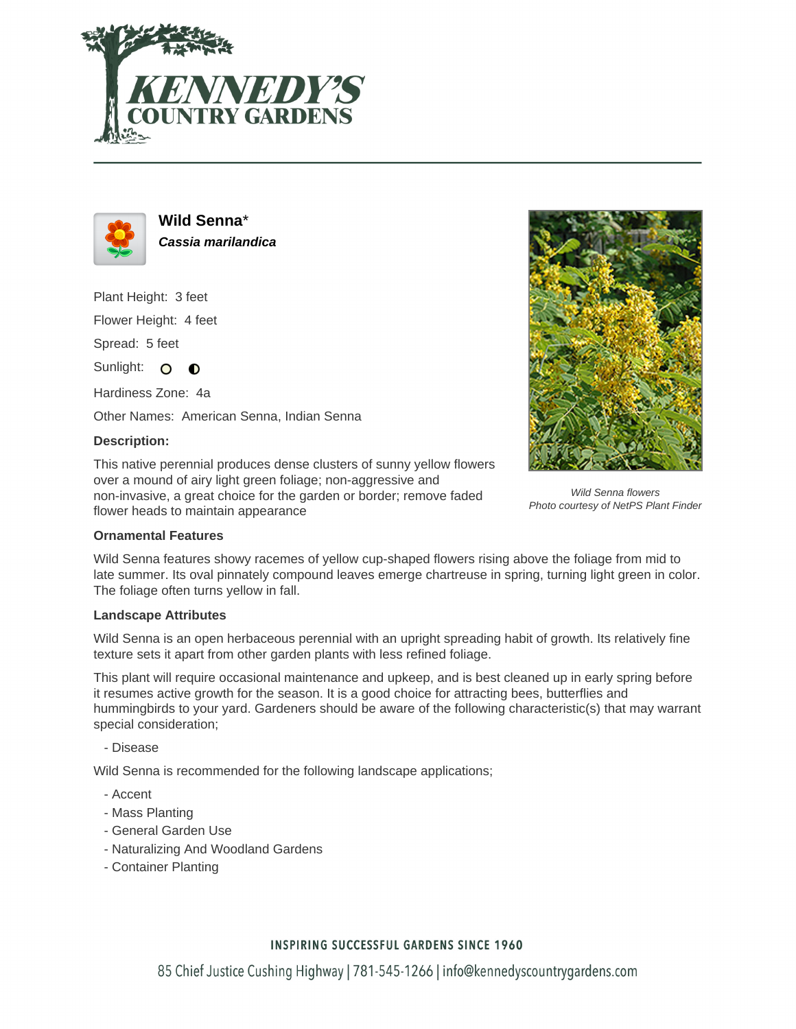



**Wild Senna**\* **Cassia marilandica**

Plant Height: 3 feet

Flower Height: 4 feet

Spread: 5 feet

Sunlight: O  $\bullet$ 

Hardiness Zone: 4a

Other Names: American Senna, Indian Senna

### **Description:**

This native perennial produces dense clusters of sunny yellow flowers over a mound of airy light green foliage; non-aggressive and non-invasive, a great choice for the garden or border; remove faded flower heads to maintain appearance



Wild Senna flowers Photo courtesy of NetPS Plant Finder

### **Ornamental Features**

Wild Senna features showy racemes of yellow cup-shaped flowers rising above the foliage from mid to late summer. Its oval pinnately compound leaves emerge chartreuse in spring, turning light green in color. The foliage often turns yellow in fall.

## **Landscape Attributes**

Wild Senna is an open herbaceous perennial with an upright spreading habit of growth. Its relatively fine texture sets it apart from other garden plants with less refined foliage.

This plant will require occasional maintenance and upkeep, and is best cleaned up in early spring before it resumes active growth for the season. It is a good choice for attracting bees, butterflies and hummingbirds to your yard. Gardeners should be aware of the following characteristic(s) that may warrant special consideration;

- Disease

Wild Senna is recommended for the following landscape applications;

- Accent
- Mass Planting
- General Garden Use
- Naturalizing And Woodland Gardens
- Container Planting

## **INSPIRING SUCCESSFUL GARDENS SINCE 1960**

85 Chief Justice Cushing Highway | 781-545-1266 | info@kennedyscountrygardens.com